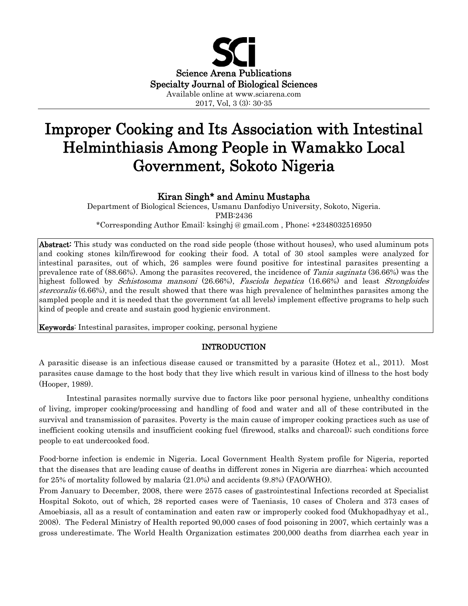

# Improper Cooking and Its Association with Intestinal Helminthiasis Among People in Wamakko Local Government, Sokoto Nigeria

## Kiran Singh\* and Aminu Mustapha

Department of Biological Sciences, Usmanu Danfodiyo University, Sokoto, Nigeria. PMB:2436 \*Corresponding Author Email: ksinghj @ gmail.com , Phone; +2348032516950

Abstract: This study was conducted on the road side people (those without houses), who used aluminum pots and cooking stones kiln/firewood for cooking their food. A total of 30 stool samples were analyzed for intestinal parasites, out of which, 26 samples were found positive for intestinal parasites presenting a prevalence rate of (88.66%). Among the parasites recovered, the incidence of *Tania saginata* (36.66%) was the highest followed by *Schistosoma mansoni* (26.66%), *Fasciola hepatica* (16.66%) and least *Strongloides* stercoralis (6.66%), and the result showed that there was high prevalence of helminthes parasites among the sampled people and it is needed that the government (at all levels) implement effective programs to help such kind of people and create and sustain good hygienic environment.

Keywords: Intestinal parasites, improper cooking, personal hygiene

## INTRODUCTION

A parasitic disease is an [infectious](http://en.wikipedia.org/wiki/Infectious_disease) disease caused or transmitted by a [parasite](http://en.wikipedia.org/wiki/Parasitism) (Hotez et al., 2011). Most parasites cause damage to the host body that they live which result in various kind of illness to the host body (Hooper, 1989).

 Intestinal parasites normally survive due to factors like poor personal hygiene, unhealthy conditions of living, improper cooking/processing and handling of food and water and all of these contributed in the survival and transmission of parasites. Poverty is the main cause of improper cooking practices such as use of inefficient cooking utensils and insufficient cooking fuel (firewood, stalks and charcoal); such conditions force people to eat undercooked food.

Food-borne infection is endemic in Nigeria. Local Government Health System profile for Nigeria, reported that the diseases that are leading cause of deaths in different zones in Nigeria are diarrhea; which accounted for 25% of mortality followed by malaria (21.0%) and accidents (9.8%) (FAO/WHO).

From January to December, 2008, there were 2575 cases of gastrointestinal Infections recorded at Specialist Hospital Sokoto, out of which, 28 reported cases were of Taeniasis, 10 cases of Cholera and 373 cases of Amoebiasis, all as a result of contamination and eaten raw or improperly cooked food (Mukhopadhyay et al., 2008). The Federal Ministry of Health reported 90,000 cases of food poisoning in 2007, which certainly was a gross underestimate. The World Health Organization estimates 200,000 deaths from diarrhea each year in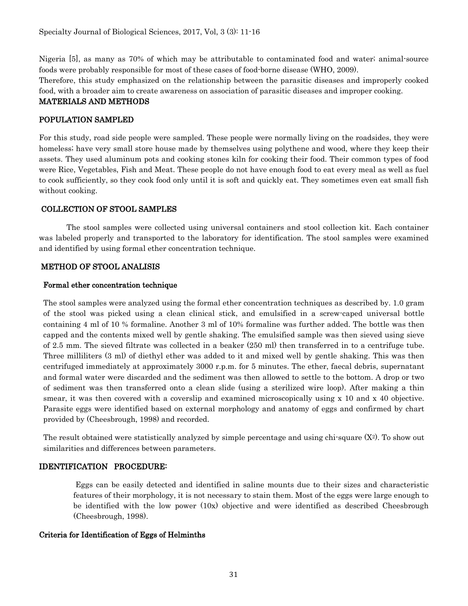Nigeria [5], as many as 70% of which may be attributable to contaminated food and water; animal-source foods were probably responsible for most of these cases of food-borne disease (WHO, 2009). Therefore, this study emphasized on the relationship between the parasitic diseases and improperly cooked food, with a broader aim to create awareness on association of parasitic diseases and improper cooking. MATERIALS AND METHODS

## POPULATION SAMPLED

For this study, road side people were sampled. These people were normally living on the roadsides, they were homeless; have very small store house made by themselves using polythene and wood, where they keep their assets. They used aluminum pots and cooking stones kiln for cooking their food. Their common types of food were Rice, Vegetables, Fish and Meat. These people do not have enough food to eat every meal as well as fuel to cook sufficiently, so they cook food only until it is soft and quickly eat. They sometimes even eat small fish without cooking.

## COLLECTION OF STOOL SAMPLES

The stool samples were collected using universal containers and stool collection kit. Each container was labeled properly and transported to the laboratory for identification. The stool samples were examined and identified by using formal ether concentration technique.

## METHOD OF STOOL ANALISIS

#### Formal ether concentration technique

The stool samples were analyzed using the formal ether concentration techniques as described by. 1.0 gram of the stool was picked using a clean clinical stick, and emulsified in a screw-caped universal bottle containing 4 ml of 10 % formaline. Another 3 ml of 10% formaline was further added. The bottle was then capped and the contents mixed well by gentle shaking. The emulsified sample was then sieved using sieve of 2.5 mm. The sieved filtrate was collected in a beaker (250 ml) then transferred in to a centrifuge tube. Three milliliters (3 ml) of diethyl ether was added to it and mixed well by gentle shaking. This was then centrifuged immediately at approximately 3000 r.p.m. for 5 minutes. The ether, faecal debris, supernatant and formal water were discarded and the sediment was then allowed to settle to the bottom. A drop or two of sediment was then transferred onto a clean slide (using a sterilized wire loop). After making a thin smear, it was then covered with a coverslip and examined microscopically using x 10 and x 40 objective. Parasite eggs were identified based on external morphology and anatomy of eggs and confirmed by chart provided by (Cheesbrough, 1998) and recorded.

The result obtained were statistically analyzed by simple percentage and using chi-square  $(X^2)$ . To show out similarities and differences between parameters.

#### IDENTIFICATION PROCEDURE:

Eggs can be easily detected and identified in saline mounts due to their sizes and characteristic features of their morphology, it is not necessary to stain them. Most of the eggs were large enough to be identified with the low power (10x) objective and were identified as described Cheesbrough (Cheesbrough, 1998).

#### Criteria for Identification of Eggs of Helminths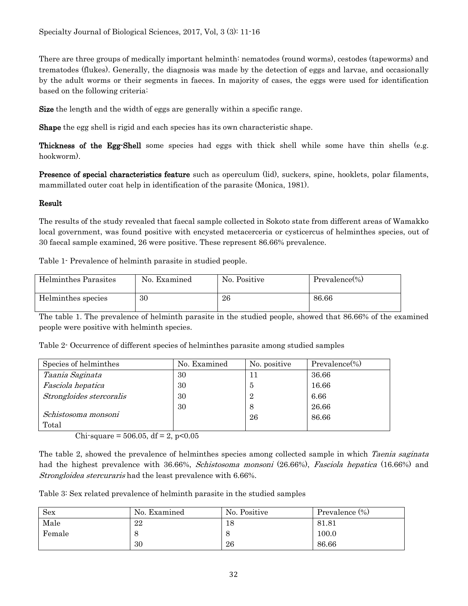There are three groups of medically important helminth: nematodes (round worms), cestodes (tapeworms) and trematodes (flukes). Generally, the diagnosis was made by the detection of eggs and larvae, and occasionally by the adult worms or their segments in faeces. In majority of cases, the eggs were used for identification based on the following criteria:

Size the length and the width of eggs are generally within a specific range.

Shape the egg shell is rigid and each species has its own characteristic shape.

Thickness of the Egg-Shell some species had eggs with thick shell while some have thin shells (e.g. hookworm).

Presence of special characteristics feature such as operculum (lid), suckers, spine, hooklets, polar filaments, mammillated outer coat help in identification of the parasite (Monica, 1981).

## Result

The results of the study revealed that faecal sample collected in Sokoto state from different areas of Wamakko local government, was found positive with encysted metacerceria or cysticercus of helminthes species, out of 30 faecal sample examined, 26 were positive. These represent 86.66% prevalence.

Table 1- Prevalence of helminth parasite in studied people.

| Helminthes Parasites | No. Examined | No. Positive | $Prevalence (\%)$ |
|----------------------|--------------|--------------|-------------------|
| Helminthes species   | 30           | 26           | 86.66             |

The table 1. The prevalence of helminth parasite in the studied people, showed that 86.66% of the examined people were positive with helminth species.

Table 2- Occurrence of different species of helminthes parasite among studied samples

| Species of helminthes    | No. Examined | No. positive | $Prevalence (\%)$ |
|--------------------------|--------------|--------------|-------------------|
| Taania Saginata          | 30           | 11           | 36.66             |
| Fasciola hepatica        | 30           | 5            | 16.66             |
| Strongloides stercoralis | 30           | 2            | 6.66              |
|                          | 30           | 8            | 26.66             |
| Schistosoma monsoni      |              | 26           | 86.66             |
| Total                    |              |              |                   |

Chi-square =  $506.05$ , df = 2, p<0.05

The table 2, showed the prevalence of helminthes species among collected sample in which Taenia saginata had the highest prevalence with 36.66%, *Schistosoma monsoni* (26.66%), *Fasciola hepatica* (16.66%) and Strongloidea stercuraris had the least prevalence with 6.66%.

Table 3: Sex related prevalence of helminth parasite in the studied samples

| <b>Sex</b> | No. Examined | No. Positive | Prevalence (%) |
|------------|--------------|--------------|----------------|
| Male       | 22           | 18           | 81.81          |
| Female     |              | C            | 100.0          |
|            | 30           | 26           | 86.66          |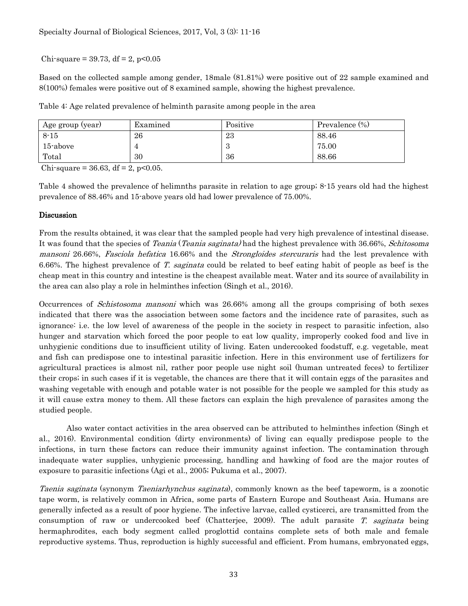Chi-square =  $39.73$ , df = 2, p<0.05

Based on the collected sample among gender, 18male (81.81%) were positive out of 22 sample examined and 8(100%) females were positive out of 8 examined sample, showing the highest prevalence.

Table 4: Age related prevalence of helminth parasite among people in the area

| Age group (year) | Examined | Positive        | Prevalence (%) |
|------------------|----------|-----------------|----------------|
| $8 - 15$         | 26       | 23              | 88.46          |
| 15-above         |          | $\epsilon$<br>ಲ | 75.00          |
| Total            | 30       | 36              | 88.66          |

Chi-square = 36.63, df = 2, p<0.05.

Table 4 showed the prevalence of helimnths parasite in relation to age group; 8-15 years old had the highest prevalence of 88.46% and 15-above years old had lower prevalence of 75.00%.

#### Discussion

From the results obtained, it was clear that the sampled people had very high prevalence of intestinal disease. It was found that the species of Teania (Teania saginata) had the highest prevalence with 36.66%, Schitosoma mansoni 26.66%, Fasciola hefatica 16.66% and the Strongloides stercuraris had the lest prevalence with 6.66%. The highest prevalence of T. saginata could be related to beef eating habit of people as beef is the cheap meat in this country and intestine is the cheapest available meat. Water and its source of availability in the area can also play a role in helminthes infection (Singh et al., 2016).

Occurrences of Schistosoma mansoni which was 26.66% among all the groups comprising of both sexes indicated that there was the association between some factors and the incidence rate of parasites, such as ignorance: i.e. the low level of awareness of the people in the society in respect to parasitic infection, also hunger and starvation which forced the poor people to eat low quality, improperly cooked food and live in unhygienic conditions due to insufficient utility of living. Eaten undercooked foodstuff, e.g. vegetable, meat and fish can predispose one to intestinal parasitic infection. Here in this environment use of fertilizers for agricultural practices is almost nil, rather poor people use night soil (human untreated feces) to fertilizer their crops; in such cases if it is vegetable, the chances are there that it will contain eggs of the parasites and washing vegetable with enough and potable water is not possible for the people we sampled for this study as it will cause extra money to them. All these factors can explain the high prevalence of parasites among the studied people.

Also water contact activities in the area observed can be attributed to helminthes infection (Singh et al., 2016). Environmental condition (dirty environments) of living can equally predispose people to the infections, in turn these factors can reduce their immunity against infection. The contamination through inadequate water supplies, unhygienic processing, handling and hawking of food are the major routes of exposure to parasitic infections (Agi et al., 2005; Pukuma et al., 2007).

Taenia saginata (synonym Taeniarhynchus saginata), commonly known as the beef tapeworm, is a zoonotic tape worm, is relatively common in Africa, some parts of Eastern Europe and Southeast Asia. Humans are generally infected as a result of poor hygiene. The infective larvae, called cysticerci, are transmitted from the consumption of raw or undercooked beef (Chatterjee, 2009). The adult parasite T. saginata being hermaphrodites, each body segment called proglottid contains complete sets of both male and female reproductive systems. Thus, reproduction is highly successful and efficient. From humans, embryonated eggs,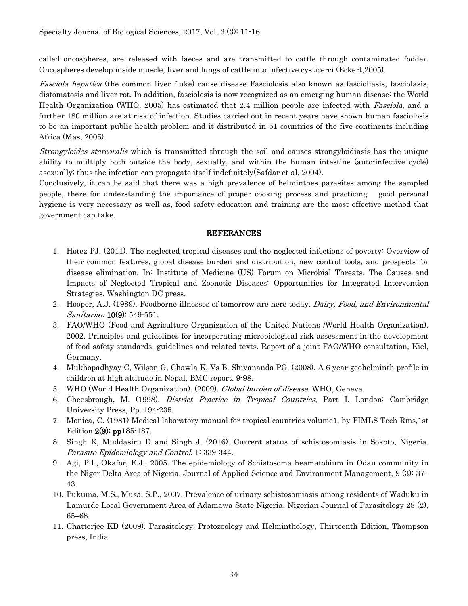called oncospheres, are released with faeces and are transmitted to cattle through contaminated fodder. Oncospheres develop inside muscle, liver and lungs of cattle into infective cysticerci (Eckert,2005).

[Fasciola hepatica](http://en.wikipedia.org/wiki/Fasciola_hepatica) (the common [liver fluke\)](http://en.wikipedia.org/wiki/Liver_Fluke) cause disease Fasciolosis also known as fascioliasis, fasciolasis, distomatosis and liver rot. In addition, fasciolosis is now recognized as an emerging human disease: the [World](http://en.wikipedia.org/wiki/World_Health_Organization)  [Health Organization](http://en.wikipedia.org/wiki/World_Health_Organization) (WHO, 2005) has estimated that 2.4 million people are infected with *Fasciola*, and a further 180 million are at risk of infection. Studies carried out in recent years have shown human fasciolosis to be an important [public health](http://en.wikipedia.org/wiki/Public_health) problem and it distributed in 51 countries of the five continents including Africa (Mas, 2005).

Strongyloides stercoralis which is transmitted through the soil and causes strongyloidiasis has the unique ability to multiply both outside the body, sexually, and within the human intestine (auto-infective cycle) asexually; thus the infection can propagate itself indefinitely(Safdar et al, 2004).

Conclusively, it can be said that there was a high prevalence of helminthes parasites among the sampled people, there for understanding the importance of proper cooking process and practicing good personal hygiene is very necessary as well as, food safety education and training are the most effective method that government can take.

#### REFERANCES

- 1. Hotez PJ, (2011). The neglected tropical diseases and the neglected infections of poverty: Overview of their common features, global disease burden and distribution, new control tools, and prospects for disease elimination. In: Institute of Medicine (US) Forum on Microbial Threats. The Causes and Impacts of Neglected Tropical and Zoonotic Diseases: Opportunities for Integrated Intervention Strategies. Washington DC press.
- 2. Hooper, A.J. (1989). Foodborne illnesses of tomorrow are here today. *Dairy, Food, and Environmental* Sanitarian **10(9)**: 549-551.
- 3. FAO/WHO (Food and Agriculture Organization of the United Nations /World Health Organization). 2002. Principles and guidelines for incorporating microbiological risk assessment in the development of food safety standards, guidelines and related texts. Report of a joint FAO/WHO consultation, Kiel, Germany.
- 4. Mukhopadhyay C, Wilson G, Chawla K, Vs B, Shivananda PG, (2008). A 6 year geohelminth profile in children at high altitude in Nepal, BMC report. 9-98.
- 5. WHO (World Health Organization). (2009). Global burden of disease. WHO, Geneva.
- 6. Cheesbrough, M. (1998). District Practice in Tropical Countries, Part I. London: Cambridge University Press, Pp. 194-235.
- 7. Monica, C. (1981) Medical laboratory manual for tropical countries volume1, by FIMLS Tech Rms,1st Edition  $2(9)$ : pp $185-187$ .
- 8. Singh K, Muddasiru D and Singh J. (2016). Current status of schistosomiasis in Sokoto, Nigeria. Parasite Epidemiology and Control. 1: 339-344.
- 9. Agi, P.I., Okafor, E.J., 2005. The epidemiology of Schistosoma heamatobium in Odau community in the Niger Delta Area of Nigeria. Journal of Applied Science and Environment Management, 9 (3): 37– 43.
- 10. Pukuma, M.S., Musa, S.P., 2007. Prevalence of urinary schistosomiasis among residents of Waduku in Lamurde Local Government Area of Adamawa State Nigeria. Nigerian Journal of Parasitology 28 (2), 65–68.
- 11. Chatterjee KD (2009). Parasitology: Protozoology and Helminthology, Thirteenth Edition, Thompson press, India.